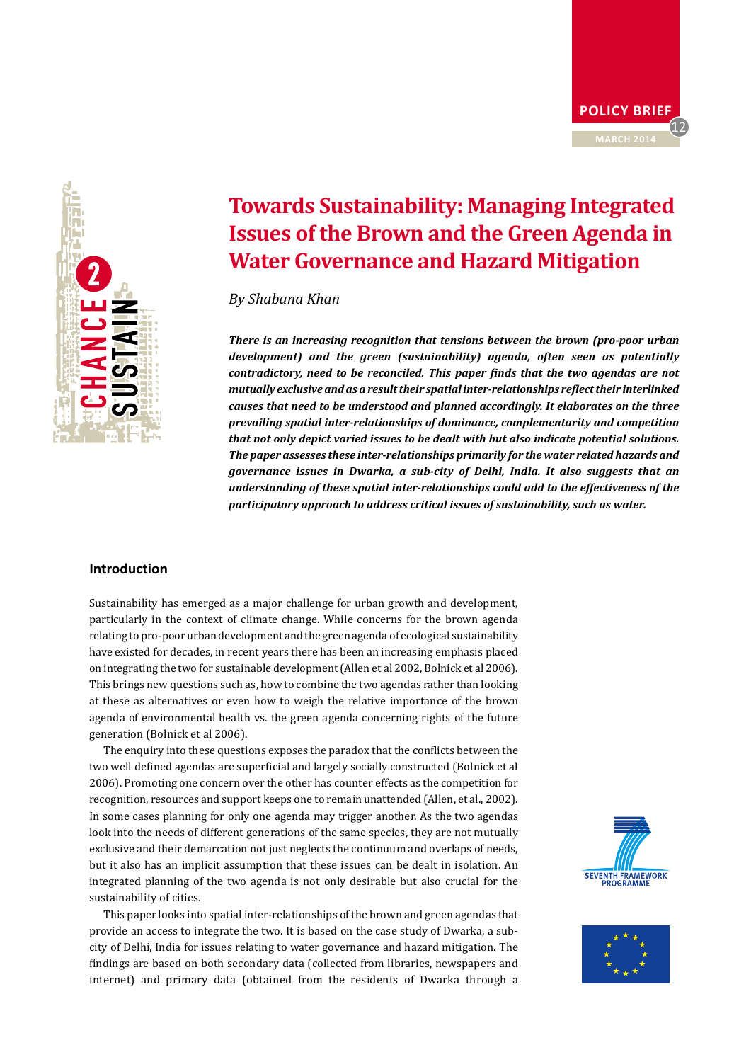



# **Towards Sustainability: Managing Integrated Issues of the Brown and the Green Agenda in Water Governance and Hazard Mitigation**

# *By Shabana Khan*

*There is an increasing recognition that tensions between the brown (pro-poor urban development) and the green (sustainability) agenda, often seen as potentially contradictory, need to be reconciled. This paper finds that the two agendas are not mutually exclusive and as a result their spatial inter-relationships reflect their interlinked causes that need to be understood and planned accordingly. It elaborates on the three prevailing spatial inter-relationships of dominance, complementarity and competition that not only depict varied issues to be dealt with but also indicate potential solutions. The paper assesses these inter-relationships primarily for the water related hazards and governance issues in Dwarka, a sub-city of Delhi, India. It also suggests that an understanding of these spatial inter-relationships could add to the effectiveness of the participatory approach to address critical issues of sustainability, such as water.*

#### **Introduction**

Sustainability has emerged as a major challenge for urban growth and development, particularly in the context of climate change. While concerns for the brown agenda relating to pro-poor urban development and the green agenda of ecological sustainability have existed for decades, in recent years there has been an increasing emphasis placed on integrating the two for sustainable development (Allen et al 2002, Bolnick et al 2006). This brings new questions such as, how to combine the two agendas rather than looking at these as alternatives or even how to weigh the relative importance of the brown agenda of environmental health vs. the green agenda concerning rights of the future generation (Bolnick et al 2006).

The enquiry into these questions exposes the paradox that the conflicts between the two well defined agendas are superficial and largely socially constructed (Bolnick et al 2006). Promoting one concern over the other has counter effects as the competition for recognition, resources and support keeps one to remain unattended (Allen, et al., 2002). In some cases planning for only one agenda may trigger another. As the two agendas look into the needs of different generations of the same species, they are not mutually exclusive and their demarcation not just neglects the continuum and overlaps of needs, but it also has an implicit assumption that these issues can be dealt in isolation. An integrated planning of the two agenda is not only desirable but also crucial for the sustainability of cities.

This paper looks into spatial inter-relationships of the brown and green agendas that provide an access to integrate the two. It is based on the case study of Dwarka, a subcity of Delhi, India for issues relating to water governance and hazard mitigation. The findings are based on both secondary data (collected from libraries, newspapers and internet) and primary data (obtained from the residents of Dwarka through a



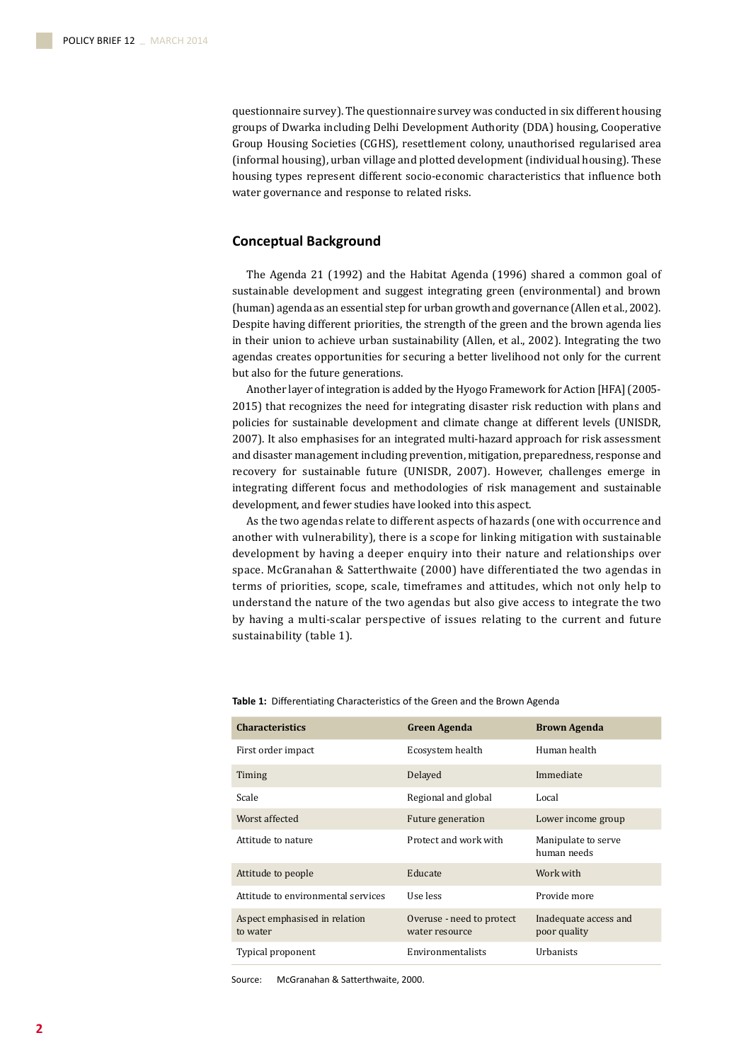questionnaire survey). The questionnaire survey was conducted in six different housing groups of Dwarka including Delhi Development Authority (DDA) housing, Cooperative Group Housing Societies (CGHS), resettlement colony, unauthorised regularised area (informal housing), urban village and plotted development (individual housing). These housing types represent different socio-economic characteristics that influence both water governance and response to related risks.

# **Conceptual Background**

The Agenda 21 (1992) and the Habitat Agenda (1996) shared a common goal of sustainable development and suggest integrating green (environmental) and brown (human) agenda as an essential step for urban growth and governance (Allen et al., 2002). Despite having different priorities, the strength of the green and the brown agenda lies in their union to achieve urban sustainability (Allen, et al., 2002). Integrating the two agendas creates opportunities for securing a better livelihood not only for the current but also for the future generations.

Another layer of integration is added by the Hyogo Framework for Action [HFA] (2005- 2015) that recognizes the need for integrating disaster risk reduction with plans and policies for sustainable development and climate change at different levels (UNISDR, 2007). It also emphasises for an integrated multi-hazard approach for risk assessment and disaster management including prevention, mitigation, preparedness, response and recovery for sustainable future (UNISDR, 2007). However, challenges emerge in integrating different focus and methodologies of risk management and sustainable development, and fewer studies have looked into this aspect.

As the two agendas relate to different aspects of hazards (one with occurrence and another with vulnerability), there is a scope for linking mitigation with sustainable development by having a deeper enquiry into their nature and relationships over space. McGranahan & Satterthwaite (2000) have differentiated the two agendas in terms of priorities, scope, scale, timeframes and attitudes, which not only help to understand the nature of the two agendas but also give access to integrate the two by having a multi-scalar perspective of issues relating to the current and future sustainability (table 1).

| <b>Characteristics</b>                    | Green Agenda                                | <b>Brown Agenda</b>                   |
|-------------------------------------------|---------------------------------------------|---------------------------------------|
| First order impact                        | Ecosystem health                            | Human health                          |
| Timing                                    | Delayed                                     | Immediate                             |
| Scale                                     | Regional and global                         | Local                                 |
| Worst affected                            | Future generation                           | Lower income group                    |
| Attitude to nature                        | Protect and work with                       | Manipulate to serve<br>human needs    |
| Attitude to people                        | Educate                                     | Work with                             |
| Attitude to environmental services        | Use less                                    | Provide more                          |
| Aspect emphasised in relation<br>to water | Overuse - need to protect<br>water resource | Inadequate access and<br>poor quality |
| Typical proponent                         | Environmentalists                           | Urbanists                             |

**Table 1:** Differentiating Characteristics of the Green and the Brown Agenda

Source: McGranahan & Satterthwaite, 2000.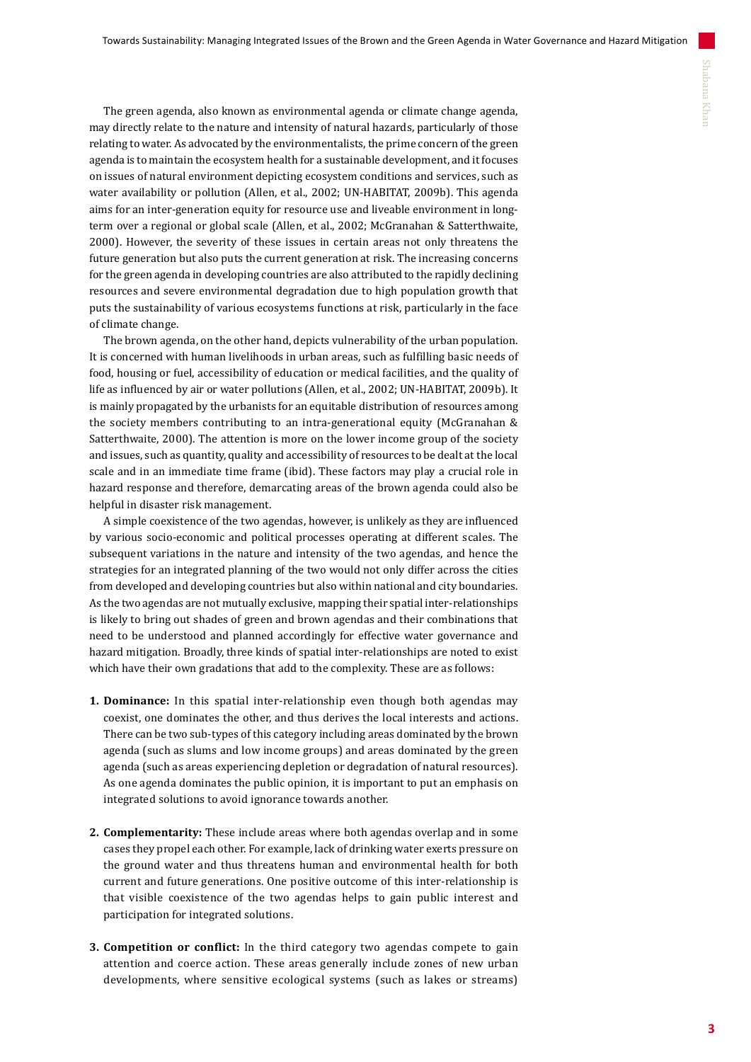The green agenda, also known as environmental agenda or climate change agenda, may directly relate to the nature and intensity of natural hazards, particularly of those relating to water. As advocated by the environmentalists, the prime concern of the green agenda is to maintain the ecosystem health for a sustainable development, and it focuses on issues of natural environment depicting ecosystem conditions and services, such as water availability or pollution (Allen, et al., 2002; UN-HABITAT, 2009b). This agenda aims for an inter-generation equity for resource use and liveable environment in longterm over a regional or global scale (Allen, et al., 2002; McGranahan & Satterthwaite, 2000). However, the severity of these issues in certain areas not only threatens the future generation but also puts the current generation at risk. The increasing concerns for the green agenda in developing countries are also attributed to the rapidly declining resources and severe environmental degradation due to high population growth that puts the sustainability of various ecosystems functions at risk, particularly in the face of climate change.

The brown agenda, on the other hand, depicts vulnerability of the urban population. It is concerned with human livelihoods in urban areas, such as fulfilling basic needs of food, housing or fuel, accessibility of education or medical facilities, and the quality of life as influenced by air or water pollutions (Allen, et al., 2002; UN-HABITAT, 2009b). It is mainly propagated by the urbanists for an equitable distribution of resources among the society members contributing to an intra-generational equity (McGranahan & Satterthwaite, 2000). The attention is more on the lower income group of the society and issues, such as quantity, quality and accessibility of resources to be dealt at the local scale and in an immediate time frame (ibid). These factors may play a crucial role in hazard response and therefore, demarcating areas of the brown agenda could also be helpful in disaster risk management.

A simple coexistence of the two agendas, however, is unlikely as they are influenced by various socio-economic and political processes operating at different scales. The subsequent variations in the nature and intensity of the two agendas, and hence the strategies for an integrated planning of the two would not only differ across the cities from developed and developing countries but also within national and city boundaries. As the two agendas are not mutually exclusive, mapping their spatial inter-relationships is likely to bring out shades of green and brown agendas and their combinations that need to be understood and planned accordingly for effective water governance and hazard mitigation. Broadly, three kinds of spatial inter-relationships are noted to exist which have their own gradations that add to the complexity. These are as follows:

- **1. Dominance:** In this spatial inter-relationship even though both agendas may coexist, one dominates the other, and thus derives the local interests and actions. There can be two sub-types of this category including areas dominated by the brown agenda (such as slums and low income groups) and areas dominated by the green agenda (such as areas experiencing depletion or degradation of natural resources). As one agenda dominates the public opinion, it is important to put an emphasis on integrated solutions to avoid ignorance towards another.
- **2. Complementarity:** These include areas where both agendas overlap and in some cases they propel each other. For example, lack of drinking water exerts pressure on the ground water and thus threatens human and environmental health for both current and future generations. One positive outcome of this inter-relationship is that visible coexistence of the two agendas helps to gain public interest and participation for integrated solutions.
- **3. Competition or conflict:** In the third category two agendas compete to gain attention and coerce action. These areas generally include zones of new urban developments, where sensitive ecological systems (such as lakes or streams)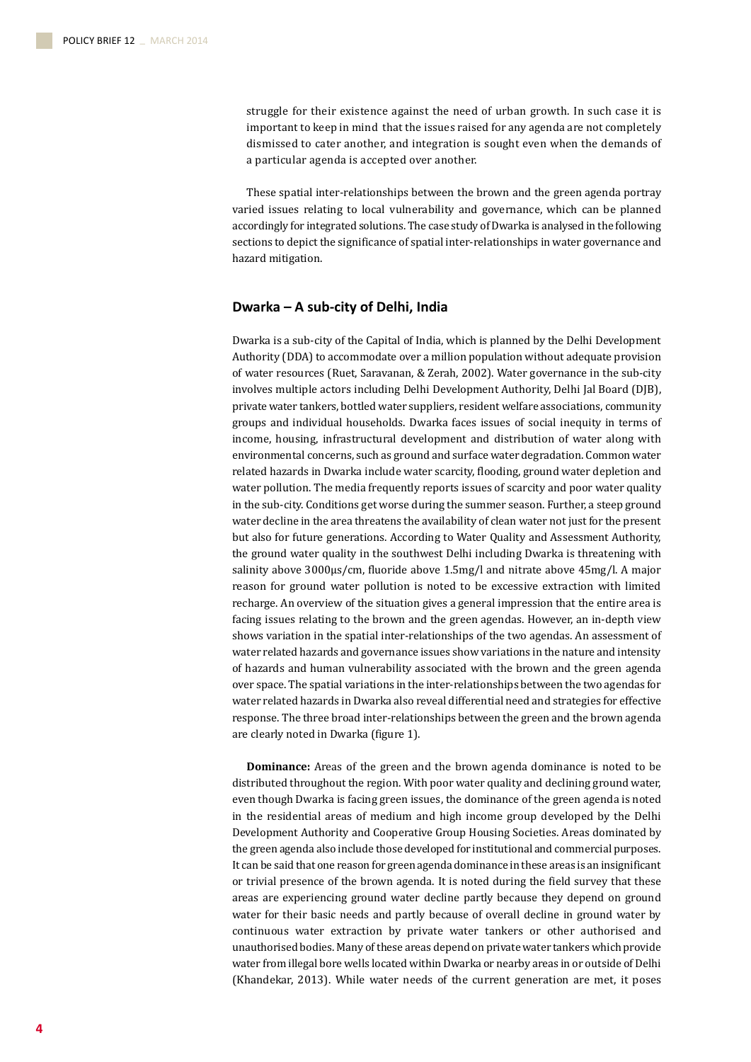struggle for their existence against the need of urban growth. In such case it is important to keep in mind that the issues raised for any agenda are not completely dismissed to cater another, and integration is sought even when the demands of a particular agenda is accepted over another.

These spatial inter-relationships between the brown and the green agenda portray varied issues relating to local vulnerability and governance, which can be planned accordingly for integrated solutions. The case study of Dwarka is analysed in the following sections to depict the significance of spatial inter-relationships in water governance and hazard mitigation.

### **Dwarka – A sub-city of Delhi, India**

Dwarka is a sub-city of the Capital of India, which is planned by the Delhi Development Authority (DDA) to accommodate over a million population without adequate provision of water resources (Ruet, Saravanan, & Zerah, 2002). Water governance in the sub-city involves multiple actors including Delhi Development Authority, Delhi Jal Board (DJB), private water tankers, bottled water suppliers, resident welfare associations, community groups and individual households. Dwarka faces issues of social inequity in terms of income, housing, infrastructural development and distribution of water along with environmental concerns, such as ground and surface water degradation. Common water related hazards in Dwarka include water scarcity, flooding, ground water depletion and water pollution. The media frequently reports issues of scarcity and poor water quality in the sub-city. Conditions get worse during the summer season. Further, a steep ground water decline in the area threatens the availability of clean water not just for the present but also for future generations. According to Water Quality and Assessment Authority, the ground water quality in the southwest Delhi including Dwarka is threatening with salinity above 3000µs/cm, fluoride above 1.5mg/l and nitrate above 45mg/l. A major reason for ground water pollution is noted to be excessive extraction with limited recharge. An overview of the situation gives a general impression that the entire area is facing issues relating to the brown and the green agendas. However, an in-depth view shows variation in the spatial inter-relationships of the two agendas. An assessment of water related hazards and governance issues show variations in the nature and intensity of hazards and human vulnerability associated with the brown and the green agenda over space. The spatial variations in the inter-relationships between the two agendas for water related hazards in Dwarka also reveal differential need and strategies for effective response. The three broad inter-relationships between the green and the brown agenda are clearly noted in Dwarka (figure 1).

**Dominance:** Areas of the green and the brown agenda dominance is noted to be distributed throughout the region. With poor water quality and declining ground water, even though Dwarka is facing green issues, the dominance of the green agenda is noted in the residential areas of medium and high income group developed by the Delhi Development Authority and Cooperative Group Housing Societies. Areas dominated by the green agenda also include those developed for institutional and commercial purposes. It can be said that one reason for green agenda dominance in these areas is an insignificant or trivial presence of the brown agenda. It is noted during the field survey that these areas are experiencing ground water decline partly because they depend on ground water for their basic needs and partly because of overall decline in ground water by continuous water extraction by private water tankers or other authorised and unauthorised bodies. Many of these areas depend on private water tankers which provide water from illegal bore wells located within Dwarka or nearby areas in or outside of Delhi (Khandekar, 2013). While water needs of the current generation are met, it poses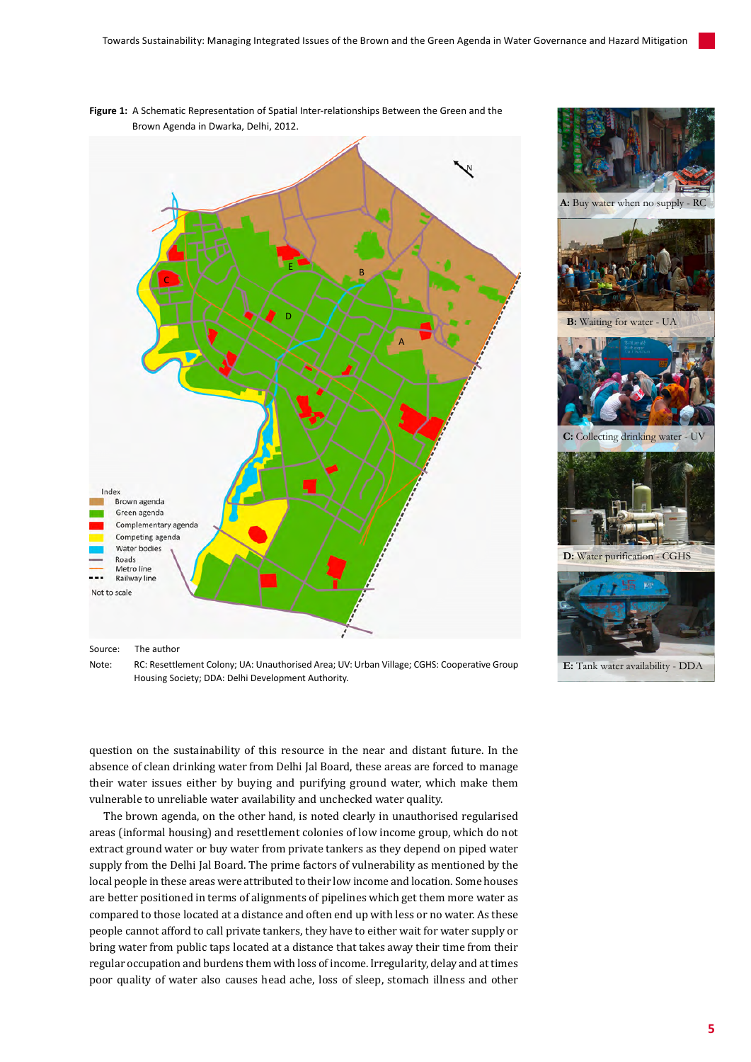**Figure 1:** A Schematic Representation of Spatial Inter-relationships Between the Green and the Brown Agenda in Dwarka, Delhi, 2012.



Note: RC: Resettlement Colony; UA: Unauthorised Area; UV: Urban Village; CGHS: Cooperative Group Housing Society; DDA: Delhi Development Authority.

question on the sustainability of this resource in the near and distant future. In the absence of clean drinking water from Delhi Jal Board, these areas are forced to manage their water issues either by buying and purifying ground water, which make them vulnerable to unreliable water availability and unchecked water quality.

The brown agenda, on the other hand, is noted clearly in unauthorised regularised areas (informal housing) and resettlement colonies of low income group, which do not extract ground water or buy water from private tankers as they depend on piped water supply from the Delhi Jal Board. The prime factors of vulnerability as mentioned by the local people in these areas were attributed to their low income and location. Some houses are better positioned in terms of alignments of pipelines which get them more water as compared to those located at a distance and often end up with less or no water. As these people cannot afford to call private tankers, they have to either wait for water supply or bring water from public taps located at a distance that takes away their time from their regular occupation and burdens them with loss of income. Irregularity, delay and at times poor quality of water also causes head ache, loss of sleep, stomach illness and other



**A:** Buy water when no supply - RC





 **D:** Water purification - CGHS



 **E:** Tank water availability - DDA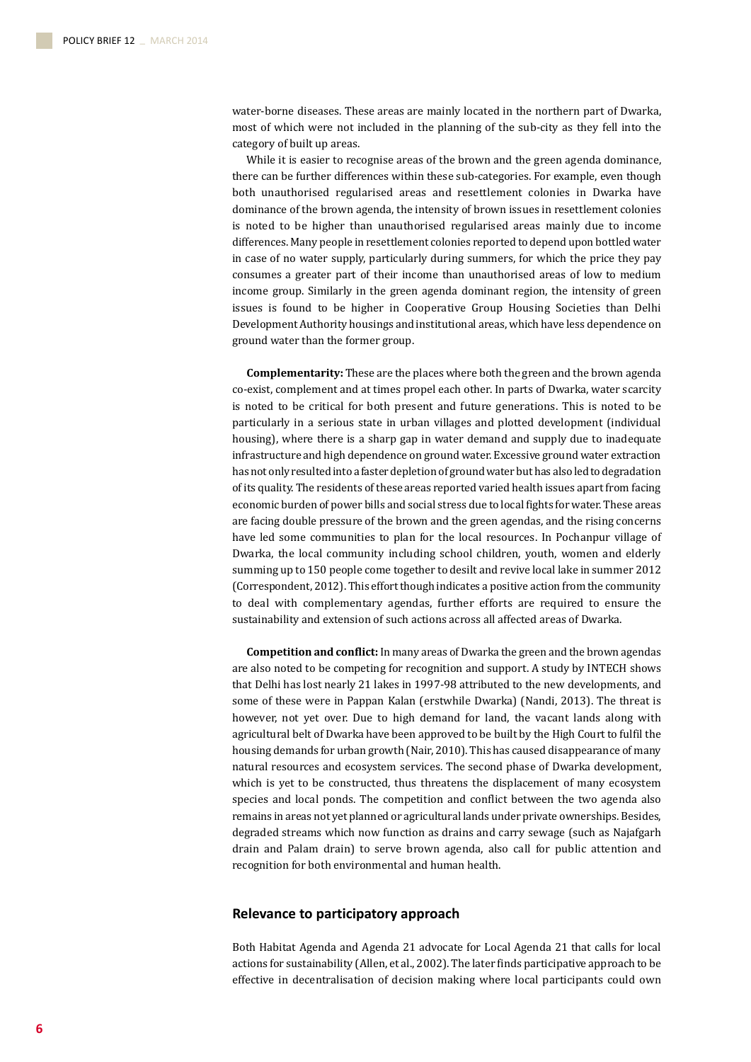water-borne diseases. These areas are mainly located in the northern part of Dwarka, most of which were not included in the planning of the sub-city as they fell into the category of built up areas.

While it is easier to recognise areas of the brown and the green agenda dominance, there can be further differences within these sub-categories. For example, even though both unauthorised regularised areas and resettlement colonies in Dwarka have dominance of the brown agenda, the intensity of brown issues in resettlement colonies is noted to be higher than unauthorised regularised areas mainly due to income differences. Many people in resettlement colonies reported to depend upon bottled water in case of no water supply, particularly during summers, for which the price they pay consumes a greater part of their income than unauthorised areas of low to medium income group. Similarly in the green agenda dominant region, the intensity of green issues is found to be higher in Cooperative Group Housing Societies than Delhi Development Authority housings and institutional areas, which have less dependence on ground water than the former group.

**Complementarity:** These are the places where both the green and the brown agenda co-exist, complement and at times propel each other. In parts of Dwarka, water scarcity is noted to be critical for both present and future generations. This is noted to be particularly in a serious state in urban villages and plotted development (individual housing), where there is a sharp gap in water demand and supply due to inadequate infrastructure and high dependence on ground water. Excessive ground water extraction has not only resulted into a faster depletion of ground water but has also led to degradation of its quality. The residents of these areas reported varied health issues apart from facing economic burden of power bills and social stress due to local fights for water. These areas are facing double pressure of the brown and the green agendas, and the rising concerns have led some communities to plan for the local resources. In Pochanpur village of Dwarka, the local community including school children, youth, women and elderly summing up to 150 people come together to desilt and revive local lake in summer 2012 (Correspondent, 2012). This effort though indicates a positive action from the community to deal with complementary agendas, further efforts are required to ensure the sustainability and extension of such actions across all affected areas of Dwarka.

**Competition and conflict:** In many areas of Dwarka the green and the brown agendas are also noted to be competing for recognition and support. A study by INTECH shows that Delhi has lost nearly 21 lakes in 1997-98 attributed to the new developments, and some of these were in Pappan Kalan (erstwhile Dwarka) (Nandi, 2013). The threat is however, not yet over. Due to high demand for land, the vacant lands along with agricultural belt of Dwarka have been approved to be built by the High Court to fulfil the housing demands for urban growth (Nair, 2010). This has caused disappearance of many natural resources and ecosystem services. The second phase of Dwarka development, which is yet to be constructed, thus threatens the displacement of many ecosystem species and local ponds. The competition and conflict between the two agenda also remains in areas not yet planned or agricultural lands under private ownerships. Besides, degraded streams which now function as drains and carry sewage (such as Najafgarh drain and Palam drain) to serve brown agenda, also call for public attention and recognition for both environmental and human health.

#### **Relevance to participatory approach**

Both Habitat Agenda and Agenda 21 advocate for Local Agenda 21 that calls for local actions for sustainability (Allen, et al., 2002). The later finds participative approach to be effective in decentralisation of decision making where local participants could own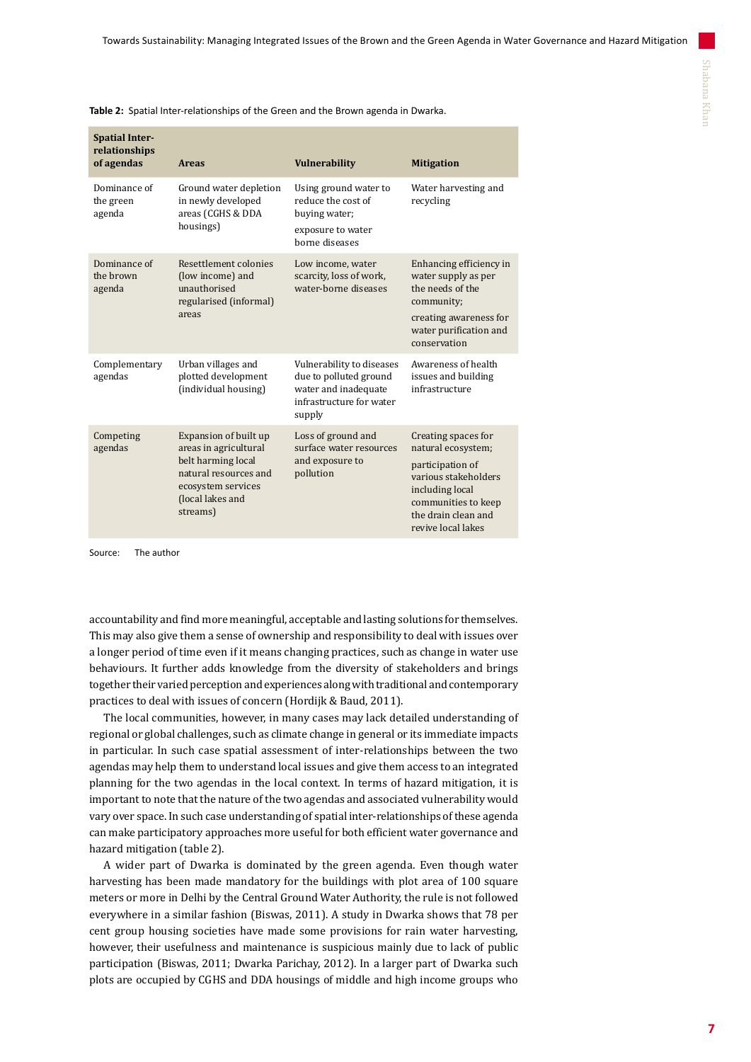| <b>Spatial Inter-</b><br>relationships<br>of agendas | <b>Areas</b>                                                                                                                                        | <b>Vulnerability</b>                                                                                              | <b>Mitigation</b>                                                                                                                                                            |
|------------------------------------------------------|-----------------------------------------------------------------------------------------------------------------------------------------------------|-------------------------------------------------------------------------------------------------------------------|------------------------------------------------------------------------------------------------------------------------------------------------------------------------------|
| Dominance of<br>the green<br>agenda                  | Ground water depletion<br>in newly developed<br>areas (CGHS & DDA<br>housings)                                                                      | Using ground water to<br>reduce the cost of<br>buying water;<br>exposure to water<br>borne diseases               | Water harvesting and<br>recycling                                                                                                                                            |
| Dominance of<br>the brown<br>agenda                  | Resettlement colonies<br>(low income) and<br>unauthorised<br>regularised (informal)<br>areas                                                        | Low income, water<br>scarcity, loss of work,<br>water-borne diseases                                              | Enhancing efficiency in<br>water supply as per<br>the needs of the<br>community;<br>creating awareness for<br>water purification and<br>conservation                         |
| Complementary<br>agendas                             | Urban villages and<br>plotted development<br>(individual housing)                                                                                   | Vulnerability to diseases<br>due to polluted ground<br>water and inadequate<br>infrastructure for water<br>supply | Awareness of health<br>issues and building<br>infrastructure                                                                                                                 |
| Competing<br>agendas                                 | Expansion of built up<br>areas in agricultural<br>belt harming local<br>natural resources and<br>ecosystem services<br>(local lakes and<br>streams) | Loss of ground and<br>surface water resources<br>and exposure to<br>pollution                                     | Creating spaces for<br>natural ecosystem;<br>participation of<br>various stakeholders<br>including local<br>communities to keep<br>the drain clean and<br>revive local lakes |

Source: The author

accountability and find more meaningful, acceptable and lasting solutions for themselves. This may also give them a sense of ownership and responsibility to deal with issues over a longer period of time even if it means changing practices, such as change in water use behaviours. It further adds knowledge from the diversity of stakeholders and brings together their varied perception and experiences along with traditional and contemporary practices to deal with issues of concern (Hordijk & Baud, 2011).

The local communities, however, in many cases may lack detailed understanding of regional or global challenges, such as climate change in general or its immediate impacts in particular. In such case spatial assessment of inter-relationships between the two agendas may help them to understand local issues and give them access to an integrated planning for the two agendas in the local context. In terms of hazard mitigation, it is important to note that the nature of the two agendas and associated vulnerability would vary over space. In such case understanding of spatial inter-relationships of these agenda can make participatory approaches more useful for both efficient water governance and hazard mitigation (table 2).

A wider part of Dwarka is dominated by the green agenda. Even though water harvesting has been made mandatory for the buildings with plot area of 100 square meters or more in Delhi by the Central Ground Water Authority, the rule is not followed everywhere in a similar fashion (Biswas, 2011). A study in Dwarka shows that 78 per cent group housing societies have made some provisions for rain water harvesting, however, their usefulness and maintenance is suspicious mainly due to lack of public participation (Biswas, 2011; Dwarka Parichay, 2012). In a larger part of Dwarka such plots are occupied by CGHS and DDA housings of middle and high income groups who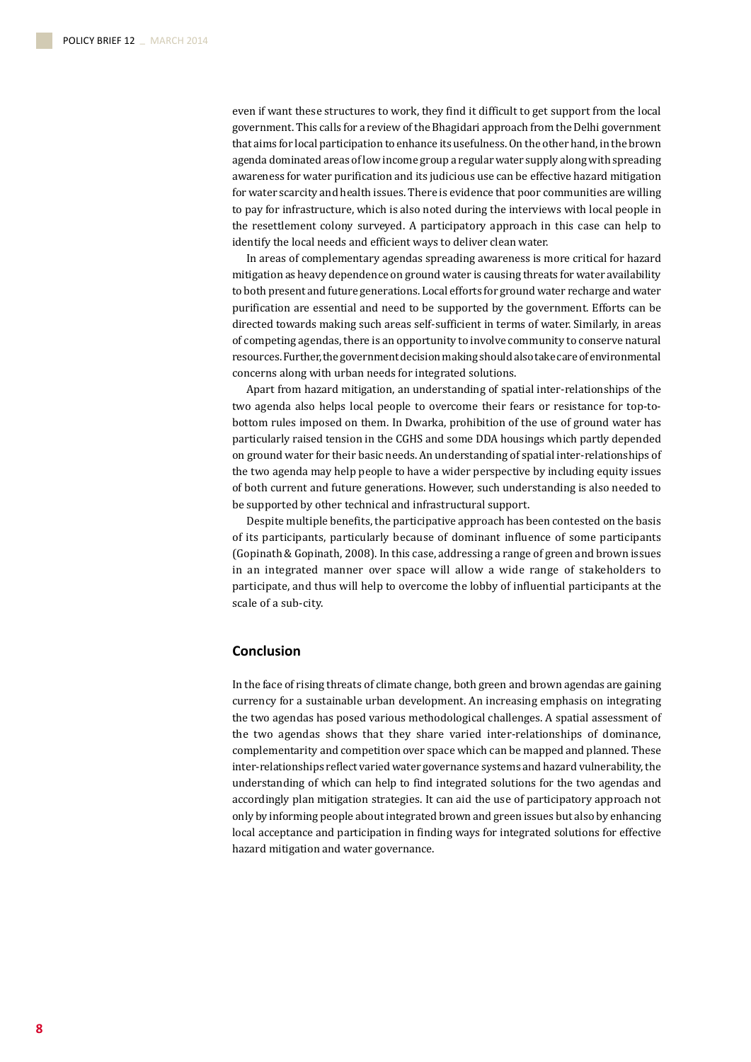even if want these structures to work, they find it difficult to get support from the local government. This calls for a review of the Bhagidari approach from the Delhi government that aims for local participation to enhance its usefulness. On the other hand, in the brown agenda dominated areas of low income group a regular water supply along with spreading awareness for water purification and its judicious use can be effective hazard mitigation for water scarcity and health issues. There is evidence that poor communities are willing to pay for infrastructure, which is also noted during the interviews with local people in the resettlement colony surveyed. A participatory approach in this case can help to identify the local needs and efficient ways to deliver clean water.

In areas of complementary agendas spreading awareness is more critical for hazard mitigation as heavy dependence on ground water is causing threats for water availability to both present and future generations. Local efforts for ground water recharge and water purification are essential and need to be supported by the government. Efforts can be directed towards making such areas self-sufficient in terms of water. Similarly, in areas of competing agendas, there is an opportunity to involve community to conserve natural resources. Further, the government decision making should also take care of environmental concerns along with urban needs for integrated solutions.

Apart from hazard mitigation, an understanding of spatial inter-relationships of the two agenda also helps local people to overcome their fears or resistance for top-tobottom rules imposed on them. In Dwarka, prohibition of the use of ground water has particularly raised tension in the CGHS and some DDA housings which partly depended on ground water for their basic needs. An understanding of spatial inter-relationships of the two agenda may help people to have a wider perspective by including equity issues of both current and future generations. However, such understanding is also needed to be supported by other technical and infrastructural support.

Despite multiple benefits, the participative approach has been contested on the basis of its participants, particularly because of dominant influence of some participants (Gopinath & Gopinath, 2008). In this case, addressing a range of green and brown issues in an integrated manner over space will allow a wide range of stakeholders to participate, and thus will help to overcome the lobby of influential participants at the scale of a sub-city.

#### **Conclusion**

In the face of rising threats of climate change, both green and brown agendas are gaining currency for a sustainable urban development. An increasing emphasis on integrating the two agendas has posed various methodological challenges. A spatial assessment of the two agendas shows that they share varied inter-relationships of dominance, complementarity and competition over space which can be mapped and planned. These inter-relationships reflect varied water governance systems and hazard vulnerability, the understanding of which can help to find integrated solutions for the two agendas and accordingly plan mitigation strategies. It can aid the use of participatory approach not only by informing people about integrated brown and green issues but also by enhancing local acceptance and participation in finding ways for integrated solutions for effective hazard mitigation and water governance.